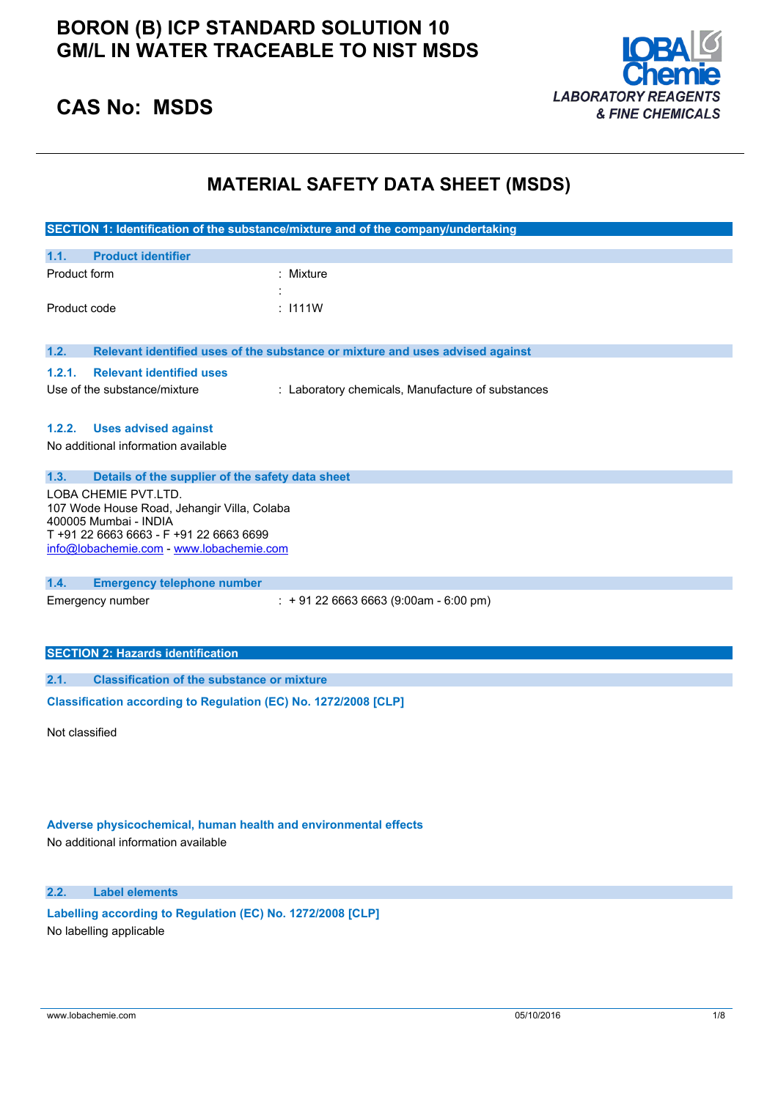## **BORON (B) ICP STANDARD SOLUTION 10 GM/L IN WATER TRACEABLE TO NIST MSDS**



## **CAS No: MSDS**

### **MATERIAL SAFETY DATA SHEET (MSDS)**

|                                                                 |                                                                                                                                                                                   | SECTION 1: Identification of the substance/mixture and of the company/undertaking |
|-----------------------------------------------------------------|-----------------------------------------------------------------------------------------------------------------------------------------------------------------------------------|-----------------------------------------------------------------------------------|
| 1.1.                                                            | <b>Product identifier</b>                                                                                                                                                         |                                                                                   |
| Product form                                                    |                                                                                                                                                                                   | : Mixture                                                                         |
| Product code                                                    |                                                                                                                                                                                   | : 1111W                                                                           |
| 1.2.                                                            |                                                                                                                                                                                   | Relevant identified uses of the substance or mixture and uses advised against     |
| 1.2.1.                                                          | <b>Relevant identified uses</b><br>Use of the substance/mixture                                                                                                                   | : Laboratory chemicals, Manufacture of substances                                 |
| 1.2.2.                                                          | <b>Uses advised against</b><br>No additional information available                                                                                                                |                                                                                   |
| 1.3.                                                            | Details of the supplier of the safety data sheet                                                                                                                                  |                                                                                   |
|                                                                 | LOBA CHEMIE PVT.LTD.<br>107 Wode House Road, Jehangir Villa, Colaba<br>400005 Mumbai - INDIA<br>T+91 22 6663 6663 - F+91 22 6663 6699<br>info@lobachemie.com - www.lobachemie.com |                                                                                   |
| 1.4.                                                            | <b>Emergency telephone number</b>                                                                                                                                                 |                                                                                   |
|                                                                 | Emergency number                                                                                                                                                                  | $: +912266636663(9:00am - 6:00 pm)$                                               |
|                                                                 | <b>SECTION 2: Hazards identification</b>                                                                                                                                          |                                                                                   |
| 2.1.                                                            | <b>Classification of the substance or mixture</b>                                                                                                                                 |                                                                                   |
| Classification according to Regulation (EC) No. 1272/2008 [CLP] |                                                                                                                                                                                   |                                                                                   |
| Not classified                                                  |                                                                                                                                                                                   |                                                                                   |

**Adverse physicochemical, human health and environmental effects**

No additional information available

**2.2. Label elements**

**Labelling according to** Regulation (EC) No. 1272/2008 [CLP] No labelling applicable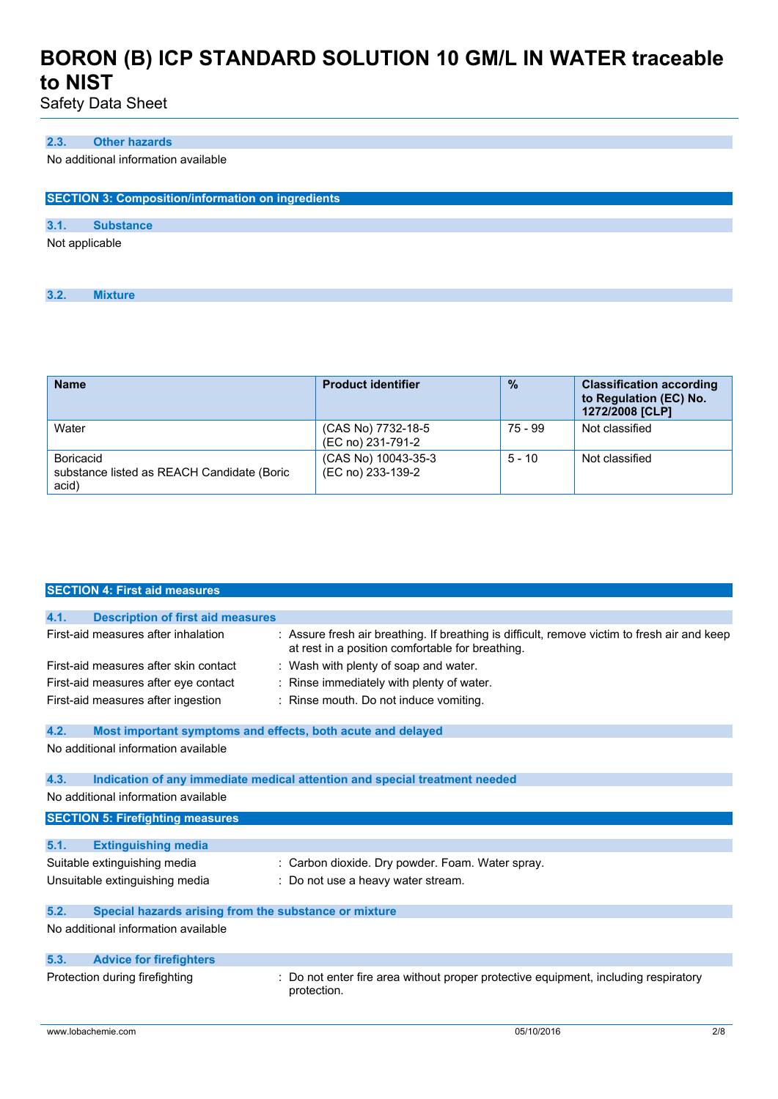Safety Data Sheet

### **2.3. Other hazards**

No additional information available

| <b>SECTION 3: Composition/information on ingredients</b> |                  |  |
|----------------------------------------------------------|------------------|--|
|                                                          |                  |  |
| 3.1.                                                     | <b>Substance</b> |  |
| Not applicable                                           |                  |  |
| 3.2.                                                     | <b>Mixture</b>   |  |

| <b>Name</b>                                                      | <b>Product identifier</b>                | $\frac{9}{6}$ | <b>Classification according</b><br>to Regulation (EC) No.<br>1272/2008 [CLP] |
|------------------------------------------------------------------|------------------------------------------|---------------|------------------------------------------------------------------------------|
| Water                                                            | (CAS No) 7732-18-5<br>(EC no) 231-791-2  | 75 - 99       | Not classified                                                               |
| Boricacid<br>substance listed as REACH Candidate (Boric<br>acid) | (CAS No) 10043-35-3<br>(EC no) 233-139-2 | $5 - 10$      | Not classified                                                               |

|      | <b>SECTION 4: First aid measures</b>                        |                                                                                                                                                  |
|------|-------------------------------------------------------------|--------------------------------------------------------------------------------------------------------------------------------------------------|
|      |                                                             |                                                                                                                                                  |
| 4.1. | <b>Description of first aid measures</b>                    |                                                                                                                                                  |
|      | First-aid measures after inhalation                         | : Assure fresh air breathing. If breathing is difficult, remove victim to fresh air and keep<br>at rest in a position comfortable for breathing. |
|      | First-aid measures after skin contact                       | : Wash with plenty of soap and water.                                                                                                            |
|      | First-aid measures after eye contact                        | Rinse immediately with plenty of water.                                                                                                          |
|      | First-aid measures after ingestion                          | : Rinse mouth. Do not induce vomiting.                                                                                                           |
| 4.2. | Most important symptoms and effects, both acute and delayed |                                                                                                                                                  |
|      | No additional information available                         |                                                                                                                                                  |
| 4.3. | No additional information available                         | Indication of any immediate medical attention and special treatment needed                                                                       |
|      |                                                             |                                                                                                                                                  |
|      | <b>SECTION 5: Firefighting measures</b>                     |                                                                                                                                                  |
| 5.1. | <b>Extinguishing media</b>                                  |                                                                                                                                                  |
|      | Suitable extinguishing media                                | : Carbon dioxide. Dry powder. Foam. Water spray.                                                                                                 |
|      | Unsuitable extinguishing media                              | : Do not use a heavy water stream.                                                                                                               |
| 5.2. | Special hazards arising from the substance or mixture       |                                                                                                                                                  |
|      | No additional information available                         |                                                                                                                                                  |
| 5.3. | <b>Advice for firefighters</b>                              |                                                                                                                                                  |
|      |                                                             |                                                                                                                                                  |
|      | Protection during firefighting                              | Do not enter fire area without proper protective equipment, including respiratory<br>protection.                                                 |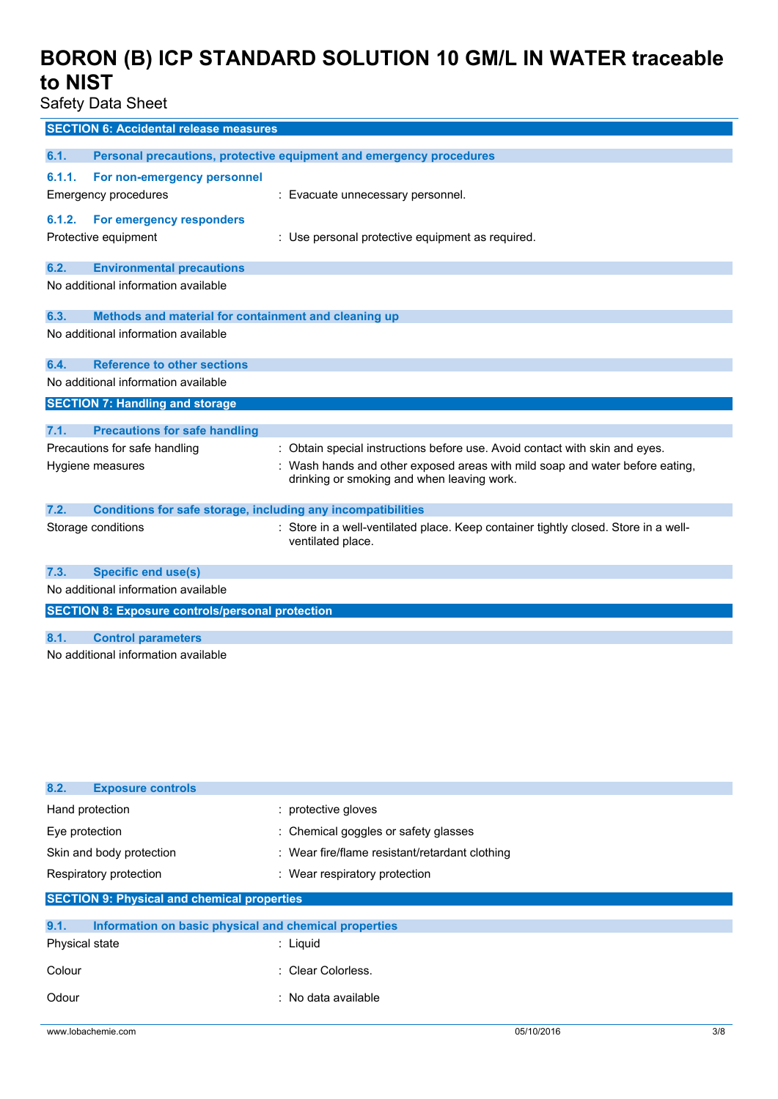Safety Data Sheet

|                                     | <b>SECTION 6: Accidental release measures</b>                |                                                                                                                            |
|-------------------------------------|--------------------------------------------------------------|----------------------------------------------------------------------------------------------------------------------------|
|                                     |                                                              |                                                                                                                            |
| 6.1.                                |                                                              | Personal precautions, protective equipment and emergency procedures                                                        |
| 6.1.1.                              | For non-emergency personnel                                  |                                                                                                                            |
|                                     | <b>Emergency procedures</b>                                  | : Evacuate unnecessary personnel.                                                                                          |
| 6.1.2.                              | For emergency responders                                     |                                                                                                                            |
|                                     | Protective equipment                                         | : Use personal protective equipment as required.                                                                           |
|                                     |                                                              |                                                                                                                            |
| 6.2.                                | <b>Environmental precautions</b>                             |                                                                                                                            |
|                                     | No additional information available                          |                                                                                                                            |
|                                     |                                                              |                                                                                                                            |
| 6.3.                                | Methods and material for containment and cleaning up         |                                                                                                                            |
|                                     | No additional information available                          |                                                                                                                            |
| 6.4.                                | <b>Reference to other sections</b>                           |                                                                                                                            |
|                                     | No additional information available                          |                                                                                                                            |
|                                     | <b>SECTION 7: Handling and storage</b>                       |                                                                                                                            |
|                                     |                                                              |                                                                                                                            |
| 7.1.                                | <b>Precautions for safe handling</b>                         |                                                                                                                            |
|                                     | Precautions for safe handling                                | : Obtain special instructions before use. Avoid contact with skin and eyes.                                                |
|                                     | Hygiene measures                                             | : Wash hands and other exposed areas with mild soap and water before eating,<br>drinking or smoking and when leaving work. |
|                                     |                                                              |                                                                                                                            |
| 7.2.                                | Conditions for safe storage, including any incompatibilities |                                                                                                                            |
|                                     | Storage conditions                                           | : Store in a well-ventilated place. Keep container tightly closed. Store in a well-                                        |
|                                     |                                                              | ventilated place.                                                                                                          |
| 7.3.                                |                                                              |                                                                                                                            |
|                                     | <b>Specific end use(s)</b>                                   |                                                                                                                            |
| No additional information available |                                                              |                                                                                                                            |
|                                     | <b>SECTION 8: Exposure controls/personal protection</b>      |                                                                                                                            |
| 8.1.                                | <b>Control parameters</b>                                    |                                                                                                                            |
|                                     | No additional information available                          |                                                                                                                            |
|                                     |                                                              |                                                                                                                            |

| 8.2.<br><b>Exposure controls</b>                              |                                                |
|---------------------------------------------------------------|------------------------------------------------|
| Hand protection                                               | : protective gloves                            |
| Eye protection                                                | : Chemical goggles or safety glasses           |
| Skin and body protection                                      | : Wear fire/flame resistant/retardant clothing |
| Respiratory protection                                        | : Wear respiratory protection                  |
| <b>SECTION 9: Physical and chemical properties</b>            |                                                |
| 9.1.<br>Information on basic physical and chemical properties |                                                |
| Physical state                                                | $:$ Liquid                                     |
| Colour                                                        | : Clear Colorless.                             |
| Odour                                                         | : No data available                            |
| www.lobachemie.com                                            | 3/8<br>05/10/2016                              |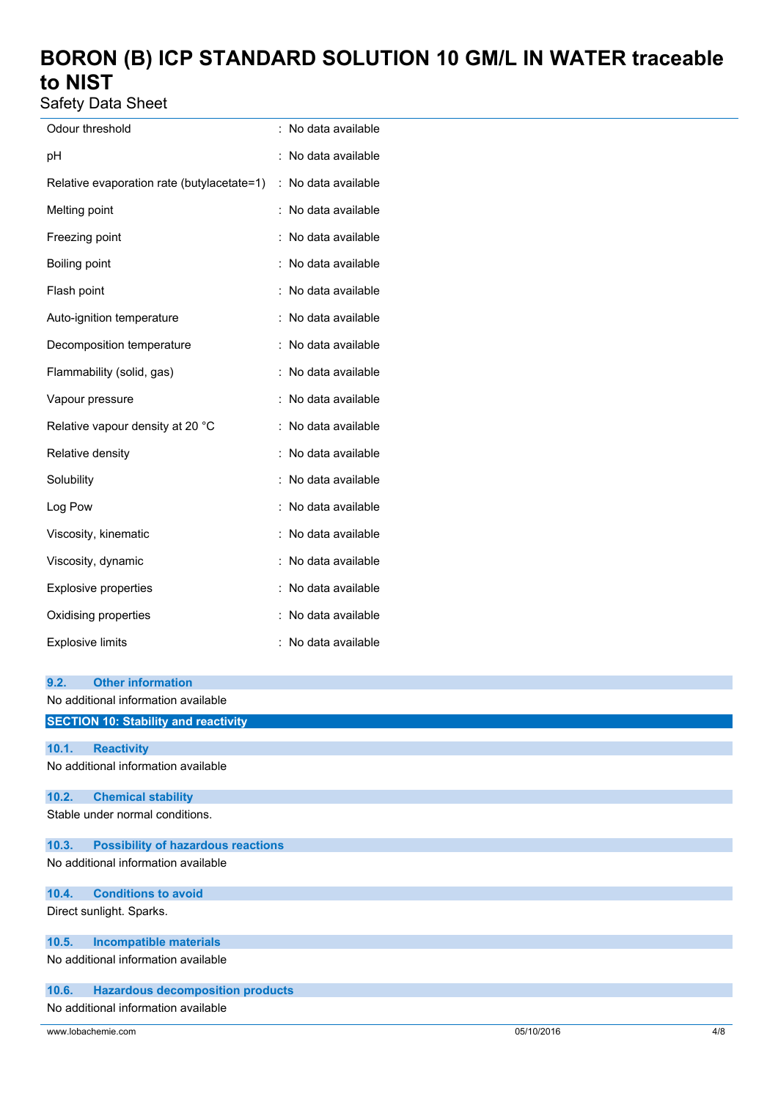Safety Data Sheet

| Odour threshold                            |   | No data available |
|--------------------------------------------|---|-------------------|
| рH                                         |   | No data available |
| Relative evaporation rate (butylacetate=1) | ÷ | No data available |
| Melting point                              |   | No data available |
| Freezing point                             |   | No data available |
| Boiling point                              |   | No data available |
| Flash point                                |   | No data available |
| Auto-ignition temperature                  |   | No data available |
| Decomposition temperature                  |   | No data available |
| Flammability (solid, gas)                  |   | No data available |
| Vapour pressure                            |   | No data available |
| Relative vapour density at 20 °C           |   | No data available |
| Relative density                           |   | No data available |
| Solubility                                 |   | No data available |
| Log Pow                                    |   | No data available |
| Viscosity, kinematic                       |   | No data available |
| Viscosity, dynamic                         |   | No data available |
| <b>Explosive properties</b>                |   | No data available |
| Oxidising properties                       |   | No data available |
| <b>Explosive limits</b>                    |   | No data available |

| 9.2.                                | <b>Other information</b>                    |  |  |
|-------------------------------------|---------------------------------------------|--|--|
|                                     | No additional information available         |  |  |
|                                     | <b>SECTION 10: Stability and reactivity</b> |  |  |
| 10.1.                               |                                             |  |  |
|                                     | <b>Reactivity</b>                           |  |  |
| No additional information available |                                             |  |  |
| 10.2.                               | <b>Chemical stability</b>                   |  |  |
|                                     | Stable under normal conditions.             |  |  |
| 10.3.                               | <b>Possibility of hazardous reactions</b>   |  |  |
|                                     | No additional information available         |  |  |
| 10.4.                               | <b>Conditions to avoid</b>                  |  |  |
|                                     | Direct sunlight. Sparks.                    |  |  |
| 10.5.                               | <b>Incompatible materials</b>               |  |  |
|                                     | No additional information available         |  |  |
| 10.6.                               | <b>Hazardous decomposition products</b>     |  |  |
|                                     | No additional information available         |  |  |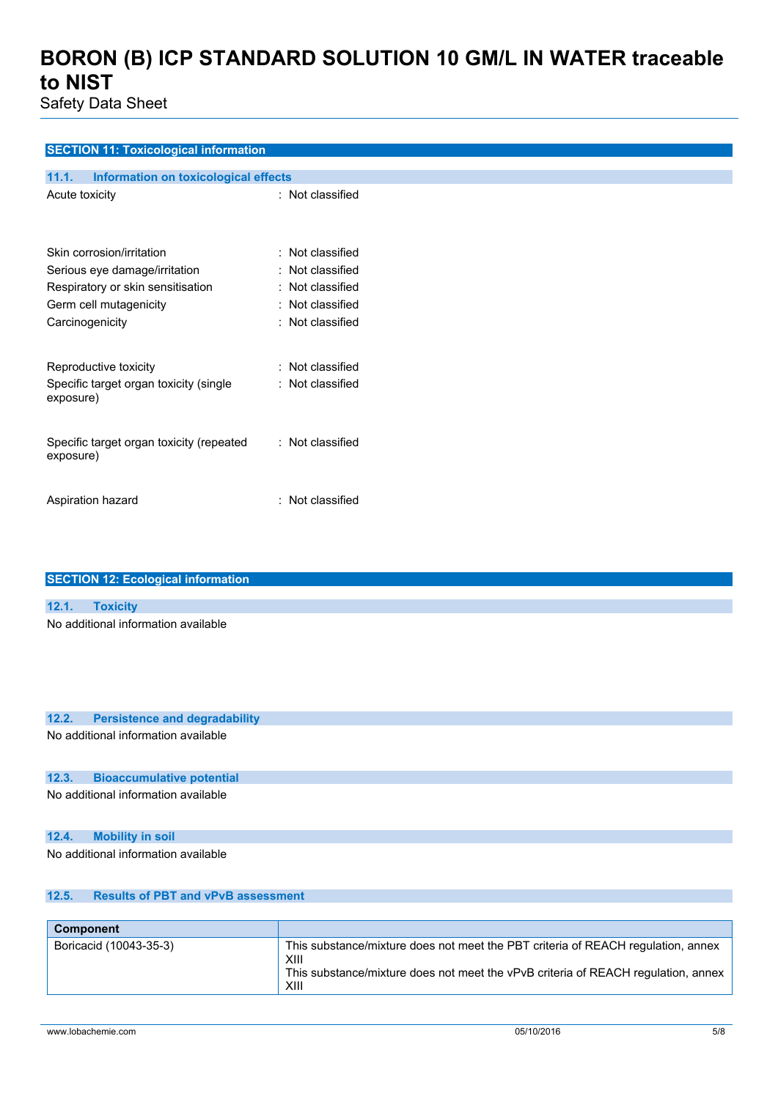Safety Data Sheet

### **SECTION 11: Toxicological information**

| Information on toxicological effects<br>11.1.                                                                             |                                                                                            |
|---------------------------------------------------------------------------------------------------------------------------|--------------------------------------------------------------------------------------------|
| Acute toxicity                                                                                                            | : Not classified                                                                           |
| Skin corrosion/irritation<br>Serious eye damage/irritation<br>Respiratory or skin sensitisation<br>Germ cell mutagenicity | : Not classified<br>: Not classified<br>$\colon$ Not classified<br>$\colon$ Not classified |
| Carcinogenicity                                                                                                           | $\colon$ Not classified                                                                    |
| Reproductive toxicity                                                                                                     | $\colon$ Not classified                                                                    |
| Specific target organ toxicity (single<br>exposure)                                                                       | : Not classified                                                                           |
| Specific target organ toxicity (repeated<br>exposure)                                                                     | $\colon$ Not classified                                                                    |
| Aspiration hazard                                                                                                         | : Not classified                                                                           |

| <b>SECTION 12: Ecological information</b> |                                     |  |
|-------------------------------------------|-------------------------------------|--|
|                                           |                                     |  |
|                                           | 12.1. Toxicity                      |  |
|                                           | No additional information available |  |
|                                           |                                     |  |
|                                           |                                     |  |
|                                           |                                     |  |

#### **12.2. Persistence and degradability**

No additional information available

### **12.3. Bioaccumulative potential**

No additional information available

### **12.4. Mobility in soil**

No additional information available

### **12.5. Results of PBT and vPvB assessment**

| Component              |                                                                                                                                                                                       |
|------------------------|---------------------------------------------------------------------------------------------------------------------------------------------------------------------------------------|
| Boricacid (10043-35-3) | This substance/mixture does not meet the PBT criteria of REACH regulation, annex<br>XIII<br>This substance/mixture does not meet the vPvB criteria of REACH regulation, annex<br>XIII |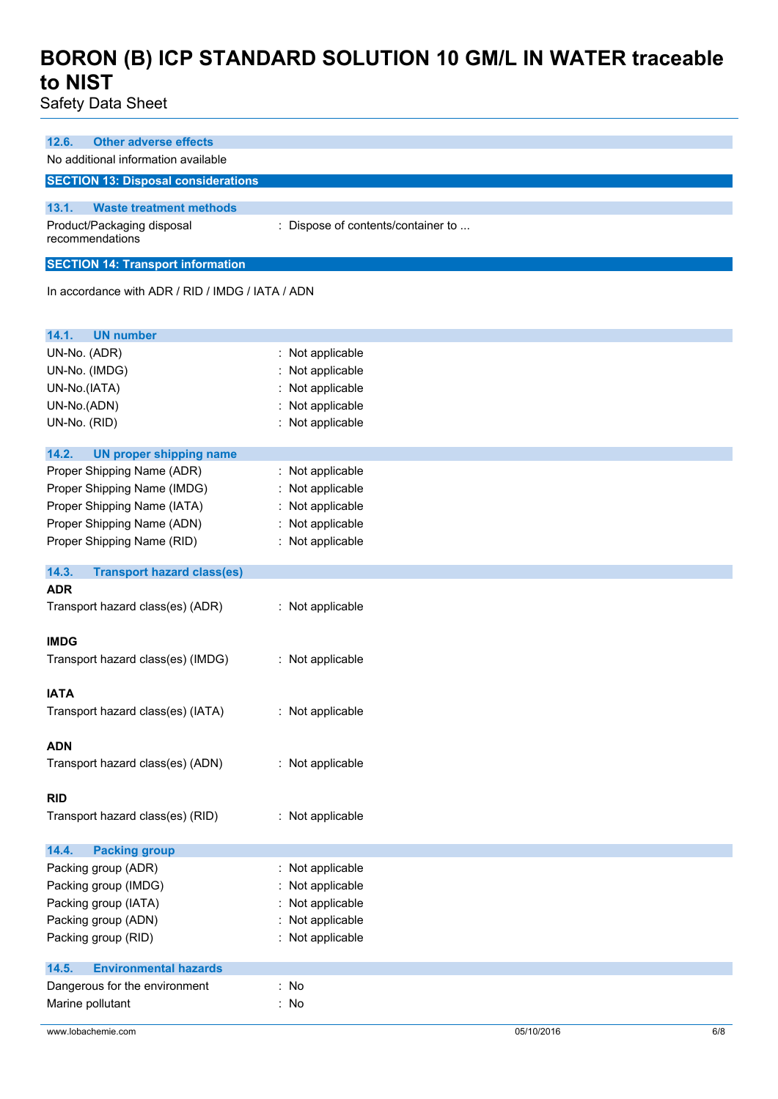Safety Data Sheet

| <b>Other adverse effects</b><br>12.6.<br>No additional information available                                                                         |                                                                                                |
|------------------------------------------------------------------------------------------------------------------------------------------------------|------------------------------------------------------------------------------------------------|
| <b>SECTION 13: Disposal considerations</b>                                                                                                           |                                                                                                |
| 13.1.<br><b>Waste treatment methods</b><br>Product/Packaging disposal<br>recommendations                                                             | : Dispose of contents/container to                                                             |
| <b>SECTION 14: Transport information</b>                                                                                                             |                                                                                                |
| In accordance with ADR / RID / IMDG / IATA / ADN                                                                                                     |                                                                                                |
| 14.1.<br><b>UN number</b>                                                                                                                            |                                                                                                |
| UN-No. (ADR)<br>UN-No. (IMDG)<br>UN-No.(IATA)<br>UN-No.(ADN)<br>UN-No. (RID)                                                                         | : Not applicable<br>: Not applicable<br>: Not applicable<br>Not applicable<br>: Not applicable |
| 14.2.<br><b>UN proper shipping name</b>                                                                                                              |                                                                                                |
| Proper Shipping Name (ADR)<br>Proper Shipping Name (IMDG)<br>Proper Shipping Name (IATA)<br>Proper Shipping Name (ADN)<br>Proper Shipping Name (RID) | : Not applicable<br>Not applicable<br>: Not applicable<br>: Not applicable<br>: Not applicable |
| 14.3.<br><b>Transport hazard class(es)</b>                                                                                                           |                                                                                                |
| <b>ADR</b><br>Transport hazard class(es) (ADR)                                                                                                       | : Not applicable                                                                               |
| <b>IMDG</b>                                                                                                                                          |                                                                                                |
| Transport hazard class(es) (IMDG)                                                                                                                    | : Not applicable                                                                               |
| <b>IATA</b><br>Transport hazard class(es) (IATA)                                                                                                     | : Not applicable                                                                               |
| <b>ADN</b><br>Transport hazard class(es) (ADN)                                                                                                       | : Not applicable                                                                               |
| <b>RID</b><br>Transport hazard class(es) (RID)                                                                                                       | : Not applicable                                                                               |
| 14.4.<br><b>Packing group</b>                                                                                                                        |                                                                                                |
| Packing group (ADR)<br>Packing group (IMDG)<br>Packing group (IATA)<br>Packing group (ADN)<br>Packing group (RID)                                    | : Not applicable<br>: Not applicable<br>Not applicable<br>: Not applicable<br>: Not applicable |
| <b>Environmental hazards</b><br>14.5.                                                                                                                |                                                                                                |
| Dangerous for the environment<br>Marine pollutant                                                                                                    | : No<br>: No                                                                                   |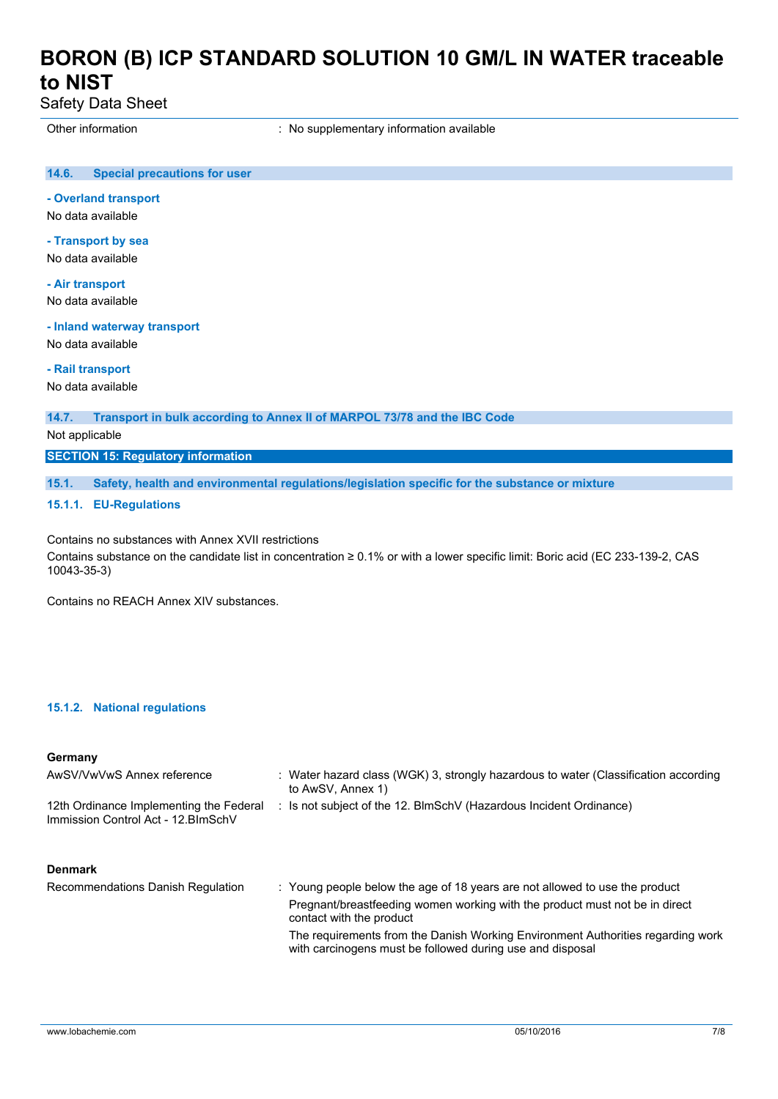Safety Data Sheet

Other information **contact to the contact of the Contract Contract Contract Contract Contract Contract Contract Contract Contract Contract Contract Contract Contract Contract Contract Contract Contract Contract Contract Co** 

#### **14.6. Special precautions for user**

**- Overland transport**

No data available

**- Transport by sea** No data available

**- Air transport**

No data available

**- Inland waterway transport**

No data available

**- Rail transport**

No data available

**14.7. Transport in bulk according to Annex II of MARPOL 73/78 and the IBC Code**

Not applicable

**SECTION 15: Regulatory information**

**15.1. Safety, health and environmental regulations/legislation specific for the substance or mixture**

#### **15.1.1. EU-Regulations**

Contains no substances with Annex XVII restrictions

Contains substance on the candidate list in concentration ≥ 0.1% or with a lower specific limit: Boric acid (EC 233-139-2, CAS 10043-35-3)

Contains no REACH Annex XIV substances.

### **15.1.2. National regulations**

#### **Germany**

| AwSV/VwVwS Annex reference                                                     | : Water hazard class (WGK) 3, strongly hazardous to water (Classification according<br>to AwSV, Annex 1)                                                                               |
|--------------------------------------------------------------------------------|----------------------------------------------------------------------------------------------------------------------------------------------------------------------------------------|
| 12th Ordinance Implementing the Federal<br>Immission Control Act - 12. BlmSchV | : Is not subject of the 12. BlmSchV (Hazardous Incident Ordinance)                                                                                                                     |
| <b>Denmark</b>                                                                 |                                                                                                                                                                                        |
| Recommendations Danish Regulation                                              | : Young people below the age of 18 years are not allowed to use the product<br>Pregnant/breastfeeding women working with the product must not be in direct<br>contact with the product |

The requirements from the Danish Working Environment Authorities regarding work with carcinogens must be followed during use and disposal